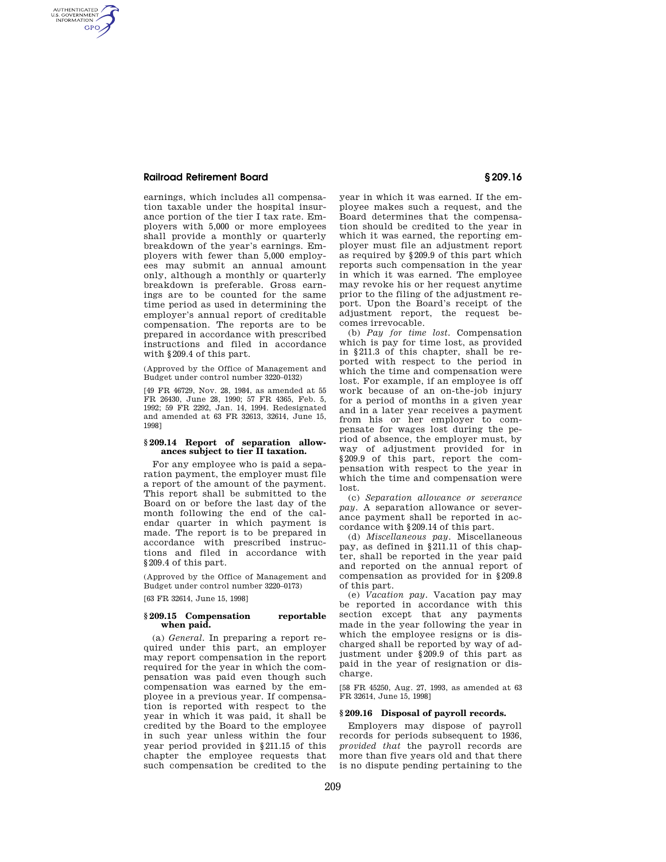# **Railroad Retirement Board § 209.16**

AUTHENTICATED<br>U.S. GOVERNMENT<br>INFORMATION **GPO** 

> earnings, which includes all compensation taxable under the hospital insurance portion of the tier I tax rate. Employers with 5,000 or more employees shall provide a monthly or quarterly breakdown of the year's earnings. Employers with fewer than 5,000 employees may submit an annual amount only, although a monthly or quarterly breakdown is preferable. Gross earnings are to be counted for the same time period as used in determining the employer's annual report of creditable compensation. The reports are to be prepared in accordance with prescribed instructions and filed in accordance with §209.4 of this part.

(Approved by the Office of Management and Budget under control number 3220–0132)

[49 FR 46729, Nov. 28, 1984, as amended at 55 FR 26430, June 28, 1990; 57 FR 4365, Feb. 5, 1992; 59 FR 2292, Jan. 14, 1994. Redesignated and amended at 63 FR 32613, 32614, June 15, 1998]

## **§ 209.14 Report of separation allowances subject to tier II taxation.**

For any employee who is paid a separation payment, the employer must file a report of the amount of the payment. This report shall be submitted to the Board on or before the last day of the month following the end of the calendar quarter in which payment is made. The report is to be prepared in accordance with prescribed instructions and filed in accordance with §209.4 of this part.

(Approved by the Office of Management and Budget under control number 3220–0173)

[63 FR 32614, June 15, 1998]

## **§ 209.15 Compensation reportable when paid.**

(a) *General.* In preparing a report required under this part, an employer may report compensation in the report required for the year in which the compensation was paid even though such compensation was earned by the employee in a previous year. If compensation is reported with respect to the year in which it was paid, it shall be credited by the Board to the employee in such year unless within the four year period provided in §211.15 of this chapter the employee requests that such compensation be credited to the

year in which it was earned. If the employee makes such a request, and the Board determines that the compensation should be credited to the year in which it was earned, the reporting employer must file an adjustment report as required by §209.9 of this part which reports such compensation in the year in which it was earned. The employee may revoke his or her request anytime prior to the filing of the adjustment report. Upon the Board's receipt of the adjustment report, the request becomes irrevocable.

(b) *Pay for time lost.* Compensation which is pay for time lost, as provided in §211.3 of this chapter, shall be reported with respect to the period in which the time and compensation were lost. For example, if an employee is off work because of an on-the-job injury for a period of months in a given year and in a later year receives a payment from his or her employer to compensate for wages lost during the period of absence, the employer must, by way of adjustment provided for in §209.9 of this part, report the compensation with respect to the year in which the time and compensation were lost.

(c) *Separation allowance or severance pay.* A separation allowance or severance payment shall be reported in accordance with §209.14 of this part.

(d) *Miscellaneous pay.* Miscellaneous pay, as defined in §211.11 of this chapter, shall be reported in the year paid and reported on the annual report of compensation as provided for in §209.8 of this part.

(e) *Vacation pay.* Vacation pay may be reported in accordance with this section except that any payments made in the year following the year in which the employee resigns or is discharged shall be reported by way of adjustment under §209.9 of this part as paid in the year of resignation or discharge.

[58 FR 45250, Aug. 27, 1993, as amended at 63 FR 32614, June 15, 1998]

## **§ 209.16 Disposal of payroll records.**

Employers may dispose of payroll records for periods subsequent to 1936, *provided that* the payroll records are more than five years old and that there is no dispute pending pertaining to the